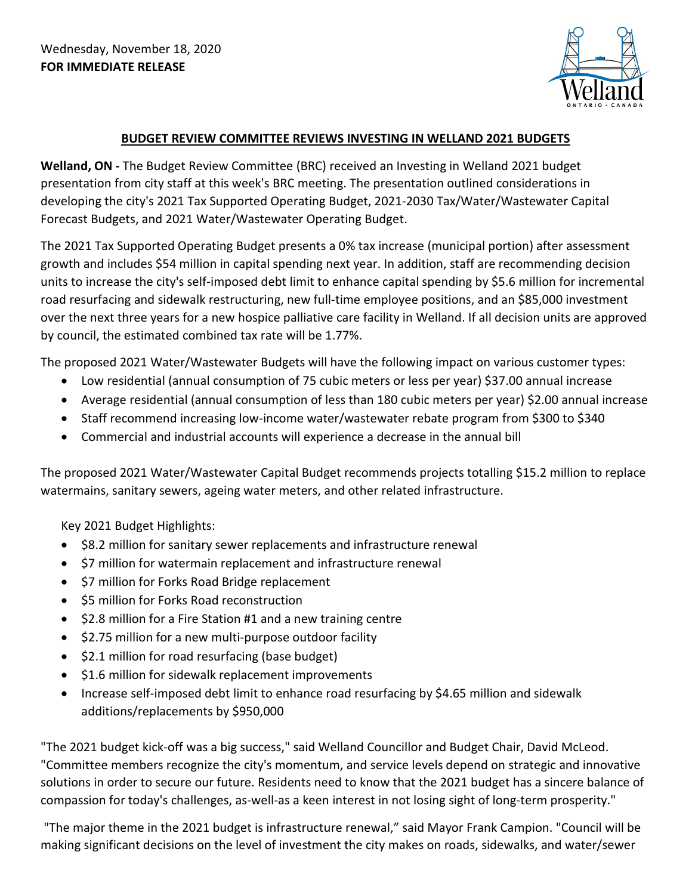

## **BUDGET REVIEW COMMITTEE REVIEWS INVESTING IN WELLAND 2021 BUDGETS**

**Welland, ON -** The Budget Review Committee (BRC) received an Investing in Welland 2021 budget presentation from city staff at this week's BRC meeting. The presentation outlined considerations in developing the city's 2021 Tax Supported Operating Budget, 2021-2030 Tax/Water/Wastewater Capital Forecast Budgets, and 2021 Water/Wastewater Operating Budget.

The 2021 Tax Supported Operating Budget presents a 0% tax increase (municipal portion) after assessment growth and includes \$54 million in capital spending next year. In addition, staff are recommending decision units to increase the city's self-imposed debt limit to enhance capital spending by \$5.6 million for incremental road resurfacing and sidewalk restructuring, new full-time employee positions, and an \$85,000 investment over the next three years for a new hospice palliative care facility in Welland. If all decision units are approved by council, the estimated combined tax rate will be 1.77%.

The proposed 2021 Water/Wastewater Budgets will have the following impact on various customer types:

- Low residential (annual consumption of 75 cubic meters or less per year) \$37.00 annual increase
- Average residential (annual consumption of less than 180 cubic meters per year) \$2.00 annual increase
- Staff recommend increasing low-income water/wastewater rebate program from \$300 to \$340
- Commercial and industrial accounts will experience a decrease in the annual bill

The proposed 2021 Water/Wastewater Capital Budget recommends projects totalling \$15.2 million to replace watermains, sanitary sewers, ageing water meters, and other related infrastructure.

Key 2021 Budget Highlights:

- \$8.2 million for sanitary sewer replacements and infrastructure renewal
- \$7 million for watermain replacement and infrastructure renewal
- \$7 million for Forks Road Bridge replacement
- \$5 million for Forks Road reconstruction
- \$2.8 million for a Fire Station #1 and a new training centre
- \$2.75 million for a new multi-purpose outdoor facility
- \$2.1 million for road resurfacing (base budget)
- \$1.6 million for sidewalk replacement improvements
- Increase self-imposed debt limit to enhance road resurfacing by \$4.65 million and sidewalk additions/replacements by \$950,000

"The 2021 budget kick-off was a big success," said Welland Councillor and Budget Chair, David McLeod. "Committee members recognize the city's momentum, and service levels depend on strategic and innovative solutions in order to secure our future. Residents need to know that the 2021 budget has a sincere balance of compassion for today's challenges, as-well-as a keen interest in not losing sight of long-term prosperity."

 "The major theme in the 2021 budget is infrastructure renewal," said Mayor Frank Campion. "Council will be making significant decisions on the level of investment the city makes on roads, sidewalks, and water/sewer